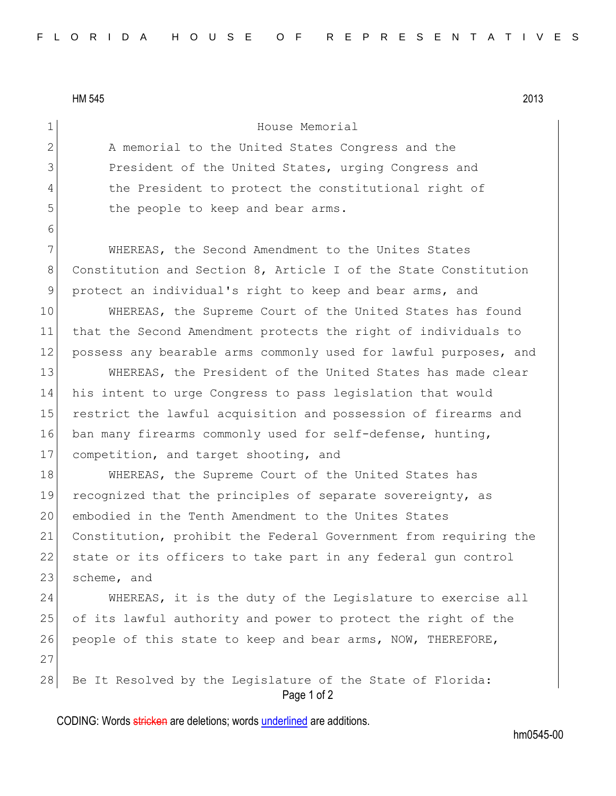HM 545 2013

6

1 House Memorial

2 A memorial to the United States Congress and the 3 President of the United States, urging Congress and 4 the President to protect the constitutional right of 5 the people to keep and bear arms.

7 WHEREAS, the Second Amendment to the Unites States 8 Constitution and Section 8, Article I of the State Constitution 9 protect an individual's right to keep and bear arms, and

10 WHEREAS, the Supreme Court of the United States has found 11 that the Second Amendment protects the right of individuals to 12 possess any bearable arms commonly used for lawful purposes, and

13 WHEREAS, the President of the United States has made clear 14 his intent to urge Congress to pass legislation that would 15 restrict the lawful acquisition and possession of firearms and 16 ban many firearms commonly used for self-defense, hunting, 17 competition, and target shooting, and

18 WHEREAS, the Supreme Court of the United States has 19 recognized that the principles of separate sovereignty, as 20 embodied in the Tenth Amendment to the Unites States 21 Constitution, prohibit the Federal Government from requiring the 22 state or its officers to take part in any federal gun control 23 scheme, and

24 WHEREAS, it is the duty of the Legislature to exercise all 25 of its lawful authority and power to protect the right of the 26 people of this state to keep and bear arms, NOW, THEREFORE, 27 28 Be It Resolved by the Legislature of the State of Florida:

Page 1 of 2

CODING: Words stricken are deletions; words underlined are additions.

hm0545-00